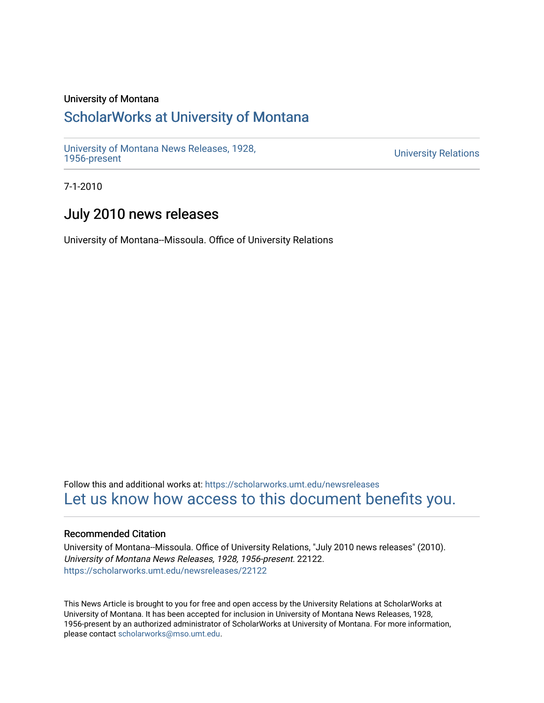# University of Montana

# [ScholarWorks at University of Montana](https://scholarworks.umt.edu/)

[University of Montana News Releases, 1928,](https://scholarworks.umt.edu/newsreleases) 

**University Relations** 

7-1-2010

# July 2010 news releases

University of Montana--Missoula. Office of University Relations

Follow this and additional works at: [https://scholarworks.umt.edu/newsreleases](https://scholarworks.umt.edu/newsreleases?utm_source=scholarworks.umt.edu%2Fnewsreleases%2F22122&utm_medium=PDF&utm_campaign=PDFCoverPages) [Let us know how access to this document benefits you.](https://goo.gl/forms/s2rGfXOLzz71qgsB2) 

# Recommended Citation

University of Montana--Missoula. Office of University Relations, "July 2010 news releases" (2010). University of Montana News Releases, 1928, 1956-present. 22122. [https://scholarworks.umt.edu/newsreleases/22122](https://scholarworks.umt.edu/newsreleases/22122?utm_source=scholarworks.umt.edu%2Fnewsreleases%2F22122&utm_medium=PDF&utm_campaign=PDFCoverPages) 

This News Article is brought to you for free and open access by the University Relations at ScholarWorks at University of Montana. It has been accepted for inclusion in University of Montana News Releases, 1928, 1956-present by an authorized administrator of ScholarWorks at University of Montana. For more information, please contact [scholarworks@mso.umt.edu.](mailto:scholarworks@mso.umt.edu)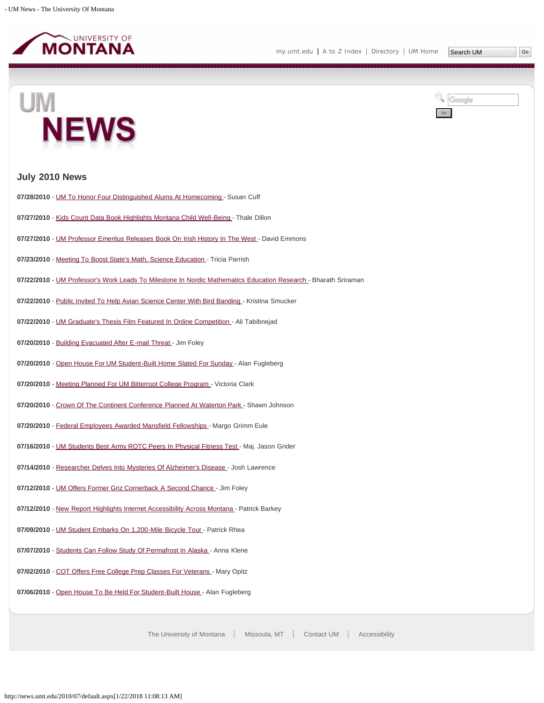

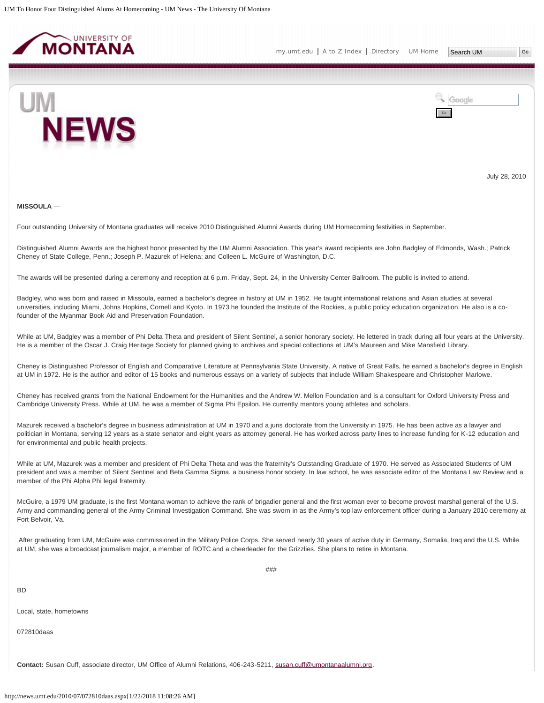<span id="page-2-0"></span>





July 28, 2010

#### **MISSOULA** ―

Four outstanding University of Montana graduates will receive 2010 Distinguished Alumni Awards during UM Homecoming festivities in September.

Distinguished Alumni Awards are the highest honor presented by the UM Alumni Association. This year's award recipients are John Badgley of Edmonds, Wash.; Patrick Cheney of State College, Penn.; Joseph P. Mazurek of Helena; and Colleen L. McGuire of Washington, D.C.

The awards will be presented during a ceremony and reception at 6 p.m. Friday, Sept. 24, in the University Center Ballroom. The public is invited to attend.

Badgley, who was born and raised in Missoula, earned a bachelor's degree in history at UM in 1952. He taught international relations and Asian studies at several universities, including Miami, Johns Hopkins, Cornell and Kyoto. In 1973 he founded the Institute of the Rockies, a public policy education organization. He also is a cofounder of the Myanmar Book Aid and Preservation Foundation.

While at UM, Badgley was a member of Phi Delta Theta and president of Silent Sentinel, a senior honorary society. He lettered in track during all four years at the University. He is a member of the Oscar J. Craig Heritage Society for planned giving to archives and special collections at UM's Maureen and Mike Mansfield Library.

Cheney is Distinguished Professor of English and Comparative Literature at Pennsylvania State University. A native of Great Falls, he earned a bachelor's degree in English at UM in 1972. He is the author and editor of 15 books and numerous essays on a variety of subjects that include William Shakespeare and Christopher Marlowe.

Cheney has received grants from the National Endowment for the Humanities and the Andrew W. Mellon Foundation and is a consultant for Oxford University Press and Cambridge University Press. While at UM, he was a member of Sigma Phi Epsilon. He currently mentors young athletes and scholars.

Mazurek received a bachelor's degree in business administration at UM in 1970 and a juris doctorate from the University in 1975. He has been active as a lawyer and politician in Montana, serving 12 years as a state senator and eight years as attorney general. He has worked across party lines to increase funding for K-12 education and for environmental and public health projects.

While at UM, Mazurek was a member and president of Phi Delta Theta and was the fraternity's Outstanding Graduate of 1970. He served as Associated Students of UM president and was a member of Silent Sentinel and Beta Gamma Sigma, a business honor society. In law school, he was associate editor of the Montana Law Review and a member of the Phi Alpha Phi legal fraternity.

McGuire, a 1979 UM graduate, is the first Montana woman to achieve the rank of brigadier general and the first woman ever to become provost marshal general of the U.S. Army and commanding general of the Army Criminal Investigation Command. She was sworn in as the Army's top law enforcement officer during a January 2010 ceremony at Fort Belvoir, Va.

After graduating from UM, McGuire was commissioned in the Military Police Corps. She served nearly 30 years of active duty in Germany, Somalia, Iraq and the U.S. While at UM, she was a broadcast journalism major, a member of ROTC and a cheerleader for the Grizzlies. She plans to retire in Montana.

###

**BD** 

Local, state, hometowns

072810daas

**Contact:** Susan Cuff, associate director, UM Office of Alumni Relations, 406-243-5211, [susan.cuff@umontanaalumni.org](mailto:susan.cuff@umontanaalumni.org).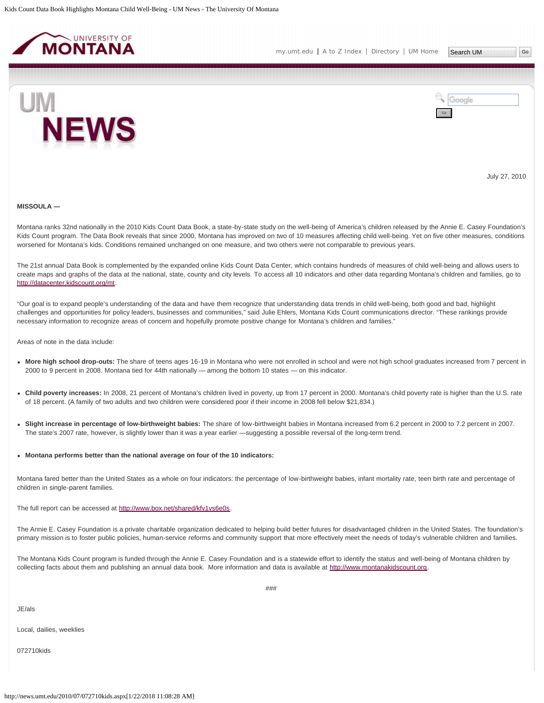<span id="page-4-0"></span>





July 27, 2010

#### **MISSOULA ―**

Montana ranks 32nd nationally in the 2010 Kids Count Data Book, a state-by-state study on the well-being of America's children released by the Annie E. Casey Foundation's Kids Count program. The Data Book reveals that since 2000, Montana has improved on two of 10 measures affecting child well-being. Yet on five other measures, conditions worsened for Montana's kids. Conditions remained unchanged on one measure, and two others were not comparable to previous years.

The 21st annual Data Book is complemented by the expanded online Kids Count Data Center, which contains hundreds of measures of child well-being and allows users to create maps and graphs of the data at the national, state, county and city levels. To access all 10 indicators and other data regarding Montana's children and families, go to <http://datacenter.kidscount.org/mt>.

"Our goal is to expand people's understanding of the data and have them recognize that understanding data trends in child well-being, both good and bad, highlight challenges and opportunities for policy leaders, businesses and communities," said Julie Ehlers, Montana Kids Count communications director. "These rankings provide necessary information to recognize areas of concern and hopefully promote positive change for Montana's children and families."

Areas of note in the data include:

- **More high school drop-outs:** The share of teens ages 16-19 in Montana who were not enrolled in school and were not high school graduates increased from 7 percent in 2000 to 9 percent in 2008. Montana tied for 44th nationally — among the bottom 10 states — on this indicator.
- **Child poverty increases:** In 2008, 21 percent of Montana's children lived in poverty, up from 17 percent in 2000. Montana's child poverty rate is higher than the U.S. rate of 18 percent. (A family of two adults and two children were considered poor if their income in 2008 fell below \$21,834.)
- **Slight increase in percentage of low-birthweight babies:** The share of low-birthweight babies in Montana increased from 6.2 percent in 2000 to 7.2 percent in 2007. The state's 2007 rate, however, is slightly lower than it was a year earlier —suggesting a possible reversal of the long-term trend.
- **Montana performs better than the national average on four of the 10 indicators:**

Montana fared better than the United States as a whole on four indicators: the percentage of low-birthweight babies, infant mortality rate, teen birth rate and percentage of children in single-parent families.

The full report can be accessed at<http://www.box.net/shared/kfv1vs6e0s>.

The Annie E. Casey Foundation is a private charitable organization dedicated to helping build better futures for disadvantaged children in the United States. The foundation's primary mission is to foster public policies, human-service reforms and community support that more effectively meet the needs of today's vulnerable children and families.

The Montana Kids Count program is funded through the Annie E. Casey Foundation and is a statewide effort to identify the status and well-being of Montana children by collecting facts about them and publishing an annual data book. More information and data is available at [http://www.montanakidscount.org.](http://www.montanakidscount.org/)

JE/als

Local, dailies, weeklies

072710kids

###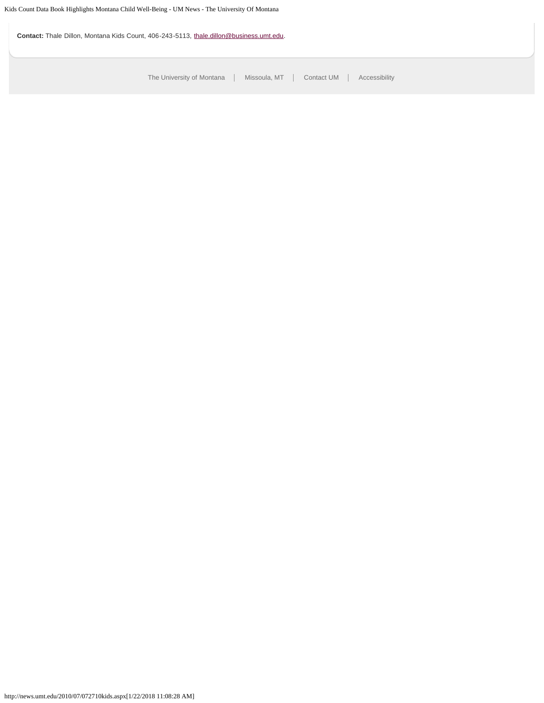**Contact:** Thale Dillon, Montana Kids Count, 406-243-5113, [thale.dillon@business.umt.edu](mailto:thale.dillon@business.umt.edu).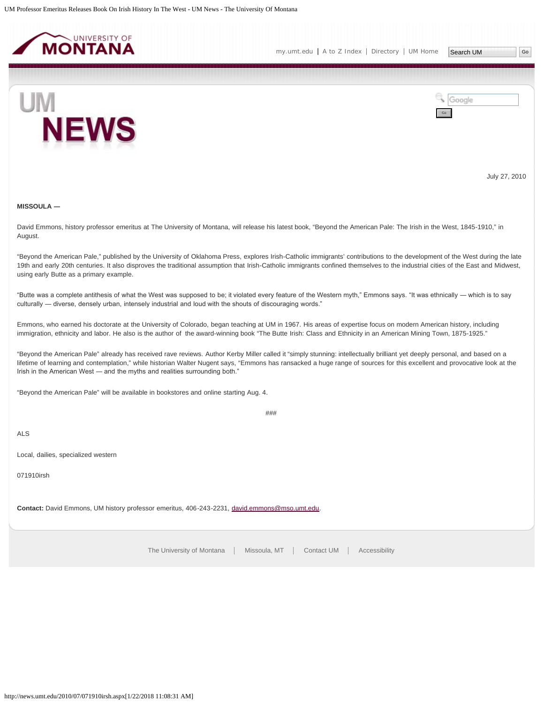<span id="page-6-0"></span>



July 27, 2010

# **MISSOULA ―**

David Emmons, history professor emeritus at The University of Montana, will release his latest book, "Beyond the American Pale: The Irish in the West, 1845-1910," in August.

"Beyond the American Pale," published by the University of Oklahoma Press, explores Irish-Catholic immigrants' contributions to the development of the West during the late 19th and early 20th centuries. It also disproves the traditional assumption that Irish-Catholic immigrants confined themselves to the industrial cities of the East and Midwest, using early Butte as a primary example.

"Butte was a complete antithesis of what the West was supposed to be; it violated every feature of the Western myth," Emmons says. "It was ethnically ― which is to say culturally ― diverse, densely urban, intensely industrial and loud with the shouts of discouraging words."

Emmons, who earned his doctorate at the University of Colorado, began teaching at UM in 1967. His areas of expertise focus on modern American history, including immigration, ethnicity and labor. He also is the author of the award-winning book "The Butte Irish: Class and Ethnicity in an American Mining Town, 1875-1925."

"Beyond the American Pale" already has received rave reviews. Author Kerby Miller called it "simply stunning: intellectually brilliant yet deeply personal, and based on a lifetime of learning and contemplation," while historian Walter Nugent says, "Emmons has ransacked a huge range of sources for this excellent and provocative look at the Irish in the American West ― and the myths and realities surrounding both."

"Beyond the American Pale" will be available in bookstores and online starting Aug. 4.

###

ALS

Local, dailies, specialized western

071910irsh

**Contact:** David Emmons, UM history professor emeritus, 406-243-2231, [david.emmons@mso.umt.edu.](mailto:david.emmons@mso.umt.edu)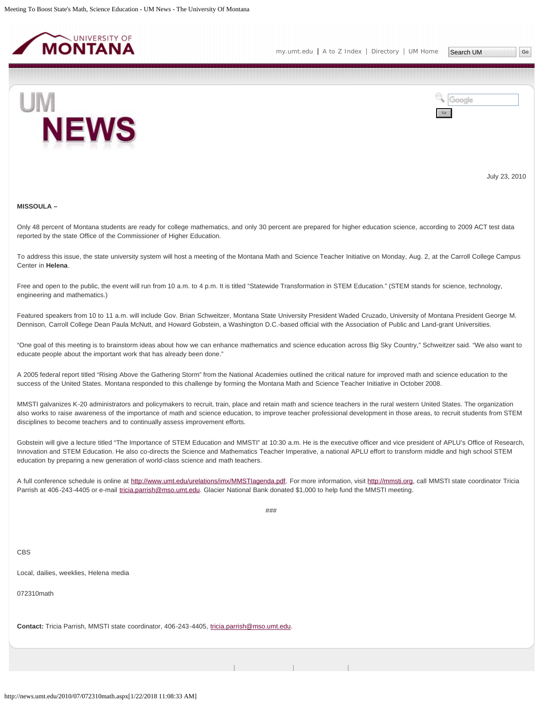<span id="page-7-0"></span>



July 23, 2010

#### **MISSOULA –**

Only 48 percent of Montana students are ready for college mathematics, and only 30 percent are prepared for higher education science, according to 2009 ACT test data reported by the state Office of the Commissioner of Higher Education.

To address this issue, the state university system will host a meeting of the Montana Math and Science Teacher Initiative on Monday, Aug. 2, at the Carroll College Campus Center in **Helena**.

Free and open to the public, the event will run from 10 a.m. to 4 p.m. It is titled "Statewide Transformation in STEM Education." (STEM stands for science, technology, engineering and mathematics.)

Featured speakers from 10 to 11 a.m. will include Gov. Brian Schweitzer, Montana State University President Waded Cruzado, University of Montana President George M. Dennison, Carroll College Dean Paula McNutt, and Howard Gobstein, a Washington D.C.-based official with the Association of Public and Land-grant Universities.

"One goal of this meeting is to brainstorm ideas about how we can enhance mathematics and science education across Big Sky Country," Schweitzer said. "We also want to educate people about the important work that has already been done."

A 2005 federal report titled "Rising Above the Gathering Storm" from the National Academies outlined the critical nature for improved math and science education to the success of the United States. Montana responded to this challenge by forming the Montana Math and Science Teacher Initiative in October 2008.

MMSTI galvanizes K-20 administrators and policymakers to recruit, train, place and retain math and science teachers in the rural western United States. The organization also works to raise awareness of the importance of math and science education, to improve teacher professional development in those areas, to recruit students from STEM disciplines to become teachers and to continually assess improvement efforts.

Gobstein will give a lecture titled "The Importance of STEM Education and MMSTI" at 10:30 a.m. He is the executive officer and vice president of APLU's Office of Research, Innovation and STEM Education. He also co-directs the Science and Mathematics Teacher Imperative, a national APLU effort to transform middle and high school STEM education by preparing a new generation of world-class science and math teachers.

A full conference schedule is online at<http://www.umt.edu/urelations/imx/MMSTIagenda.pdf>. For more information, visit [http://mmsti.org,](http://mmsti.org/) call MMSTI state coordinator Tricia Parrish at 406-243-4405 or e-mail [tricia.parrish@mso.umt.edu.](mailto:tricia.parrish@mso.umt.edu) Glacier National Bank donated \$1,000 to help fund the MMSTI meeting.

###

CBS

Local, dailies, weeklies, Helena media

072310math

**Contact:** Tricia Parrish, MMSTI state coordinator, 406-243-4405, [tricia.parrish@mso.umt.edu.](mailto:tricia.parrish@mso.umt.edu)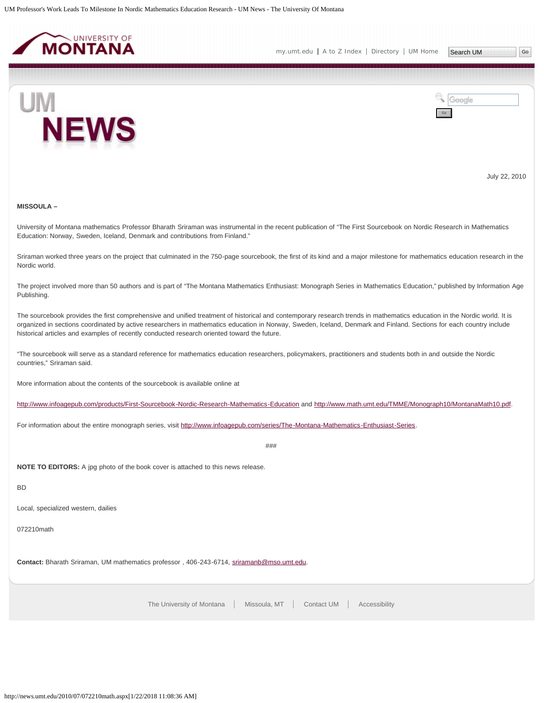<span id="page-9-0"></span>

[my.umt.edu](http://my.umt.edu/) | [A to Z Index](http://www.umt.edu/search/atoz/) | [Directory](http://www.umt.edu/directory/) | [UM Home](http://www.umt.edu/)

Search UM



Google Go

July 22, 2010

## **MISSOULA –**

University of Montana mathematics Professor Bharath Sriraman was instrumental in the recent publication of "The First Sourcebook on Nordic Research in Mathematics Education: Norway, Sweden, Iceland, Denmark and contributions from Finland."

Sriraman worked three years on the project that culminated in the 750-page sourcebook, the first of its kind and a major milestone for mathematics education research in the Nordic world.

The project involved more than 50 authors and is part of "The Montana Mathematics Enthusiast: Monograph Series in Mathematics Education," published by Information Age Publishing.

The sourcebook provides the first comprehensive and unified treatment of historical and contemporary research trends in mathematics education in the Nordic world. It is organized in sections coordinated by active researchers in mathematics education in Norway, Sweden, Iceland, Denmark and Finland. Sections for each country include historical articles and examples of recently conducted research oriented toward the future.

"The sourcebook will serve as a standard reference for mathematics education researchers, policymakers, practitioners and students both in and outside the Nordic countries," Sriraman said.

More information about the contents of the sourcebook is available online at

<http://www.infoagepub.com/products/First-Sourcebook-Nordic-Research-Mathematics-Education> and <http://www.math.umt.edu/TMME/Monograph10/MontanaMath10.pdf>.

For information about the entire monograph series, visit [http://www.infoagepub.com/series/The-Montana-Mathematics-Enthusiast-Series.](http://www.infoagepub.com/series/The-Montana-Mathematics-Enthusiast-Series)

###

**NOTE TO EDITORS:** A jpg photo of the book cover is attached to this news release.

## BD

Local, specialized western, dailies

072210math

**Contact:** Bharath Sriraman, UM mathematics professor , 406-243-6714, [sriramanb@mso.umt.edu](mailto:sriramanb@mso.umt.edu).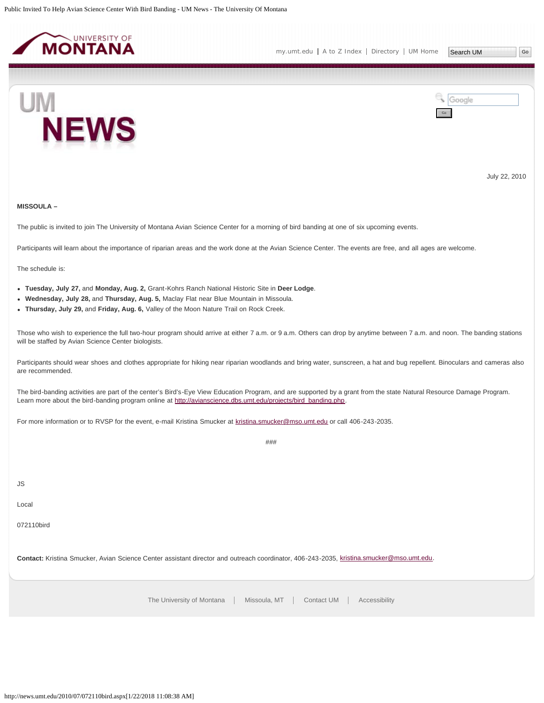<span id="page-10-0"></span>



July 22, 2010

## **MISSOULA –**

The public is invited to join The University of Montana Avian Science Center for a morning of bird banding at one of six upcoming events.

Participants will learn about the importance of riparian areas and the work done at the Avian Science Center. The events are free, and all ages are welcome.

The schedule is:

- **Tuesday, July 27,** and **Monday, Aug. 2,** Grant-Kohrs Ranch National Historic Site in **Deer Lodge**.
- **Wednesday, July 28,** and **Thursday, Aug. 5,** Maclay Flat near Blue Mountain in Missoula.
- **Thursday, July 29,** and **Friday, Aug. 6,** Valley of the Moon Nature Trail on Rock Creek.

Those who wish to experience the full two-hour program should arrive at either 7 a.m. or 9 a.m. Others can drop by anytime between 7 a.m. and noon. The banding stations will be staffed by Avian Science Center biologists.

Participants should wear shoes and clothes appropriate for hiking near riparian woodlands and bring water, sunscreen, a hat and bug repellent. Binoculars and cameras also are recommended.

###

The bird-banding activities are part of the center's Bird's-Eye View Education Program, and are supported by a grant from the state Natural Resource Damage Program. Learn more about the bird-banding program online at [http://avianscience.dbs.umt.edu/projects/bird\\_banding.php.](http://avianscience.dbs.umt.edu/projects/bird_banding.php)

For more information or to RVSP for the event, e-mail Kristina Smucker at [kristina.smucker@mso.umt.edu](mailto:kristina.smucker@mso.umt.edu) or call 406-243-2035.

JS

Local

072110bird

**Contact:** Kristina Smucker, Avian Science Center assistant director and outreach coordinator, 406-243-2035, [kristina.smucker@mso.umt.edu](mailto:kristina.smucker@mso.umt.edu).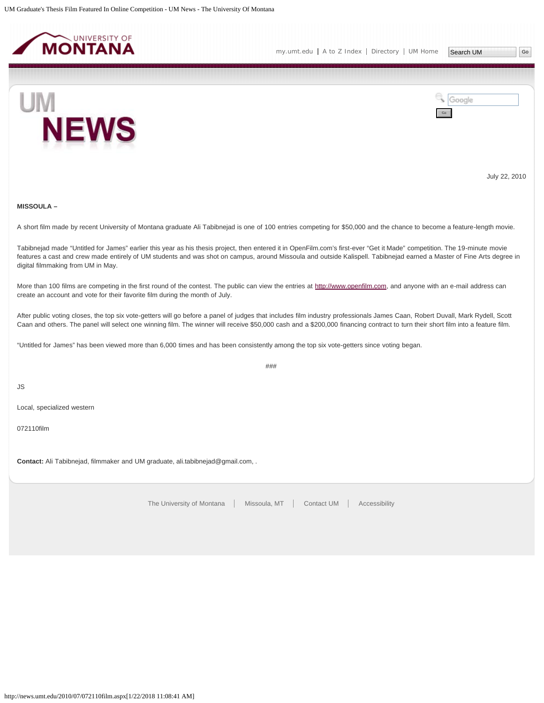<span id="page-11-0"></span>



July 22, 2010

## **MISSOULA –**

A short film made by recent University of Montana graduate Ali Tabibnejad is one of 100 entries competing for \$50,000 and the chance to become a feature-length movie.

Tabibnejad made "Untitled for James" earlier this year as his thesis project, then entered it in OpenFilm.com's first-ever "Get it Made" competition. The 19-minute movie features a cast and crew made entirely of UM students and was shot on campus, around Missoula and outside Kalispell. Tabibnejad earned a Master of Fine Arts degree in digital filmmaking from UM in May.

More than 100 films are competing in the first round of the contest. The public can view the entries at [http://www.openfilm.com,](http://www.openfilm.com/) and anyone with an e-mail address can create an account and vote for their favorite film during the month of July.

After public voting closes, the top six vote-getters will go before a panel of judges that includes film industry professionals James Caan, Robert Duvall, Mark Rydell, Scott Caan and others. The panel will select one winning film. The winner will receive \$50,000 cash and a \$200,000 financing contract to turn their short film into a feature film.

"Untitled for James" has been viewed more than 6,000 times and has been consistently among the top six vote-getters since voting began.

###

JS

Local, specialized western

072110film

**Contact:** Ali Tabibnejad, filmmaker and UM graduate, ali.tabibnejad@gmail.com, .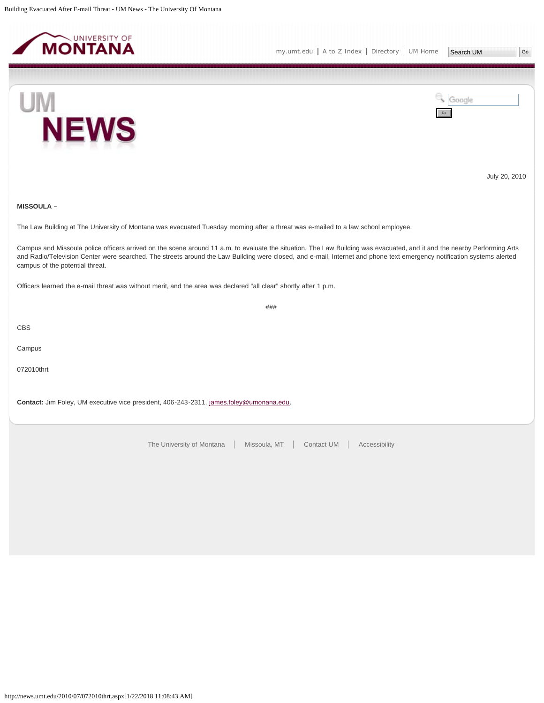<span id="page-12-0"></span>

**NEWS** 

Search UM |Go



July 20, 2010

## **MISSOULA –**

**UM** 

The Law Building at The University of Montana was evacuated Tuesday morning after a threat was e-mailed to a law school employee.

Campus and Missoula police officers arrived on the scene around 11 a.m. to evaluate the situation. The Law Building was evacuated, and it and the nearby Performing Arts and Radio/Television Center were searched. The streets around the Law Building were closed, and e-mail, Internet and phone text emergency notification systems alerted campus of the potential threat.

###

Officers learned the e-mail threat was without merit, and the area was declared "all clear" shortly after 1 p.m.

CBS

Campus

072010thrt

Contact: Jim Foley, UM executive vice president, 406-243-2311, [james.foley@umonana.edu.](mailto:james.foley@umonana.edu)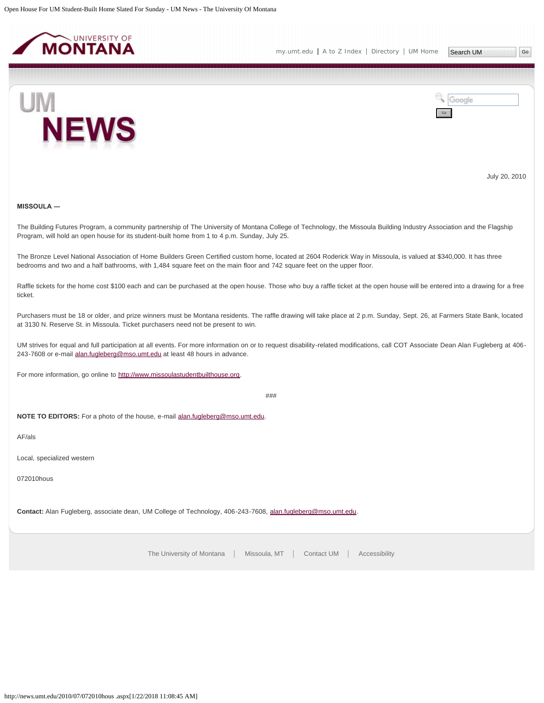<span id="page-13-0"></span>



July 20, 2010

## **MISSOULA ―**

The Building Futures Program, a community partnership of The University of Montana College of Technology, the Missoula Building Industry Association and the Flagship Program, will hold an open house for its student-built home from 1 to 4 p.m. Sunday, July 25.

The Bronze Level National Association of Home Builders Green Certified custom home, located at 2604 Roderick Way in Missoula, is valued at \$340,000. It has three bedrooms and two and a half bathrooms, with 1,484 square feet on the main floor and 742 square feet on the upper floor.

Raffle tickets for the home cost \$100 each and can be purchased at the open house. Those who buy a raffle ticket at the open house will be entered into a drawing for a free ticket.

Purchasers must be 18 or older, and prize winners must be Montana residents. The raffle drawing will take place at 2 p.m. Sunday, Sept. 26, at Farmers State Bank, located at 3130 N. Reserve St. in Missoula. Ticket purchasers need not be present to win.

UM strives for equal and full participation at all events. For more information on or to request disability-related modifications, call COT Associate Dean Alan Fugleberg at 406- 243-7608 or e-mail [alan.fugleberg@mso.umt.edu](mailto:alan.fugleberg@mso.umt.edu) at least 48 hours in advance.

For more information, go online to [http://www.missoulastudentbuilthouse.org](http://www.missoulastudentbuilthouse.org/).

###

**NOTE TO EDITORS:** For a photo of the house, e-mail [alan.fugleberg@mso.umt.edu](mailto:alan.fugleberg@mso.umt.edu).

AF/als

Local, specialized western

072010hous

**Contact:** Alan Fugleberg, associate dean, UM College of Technology, 406-243-7608, [alan.fugleberg@mso.umt.edu](mailto:alan.fugleberg@mso.umt.edu).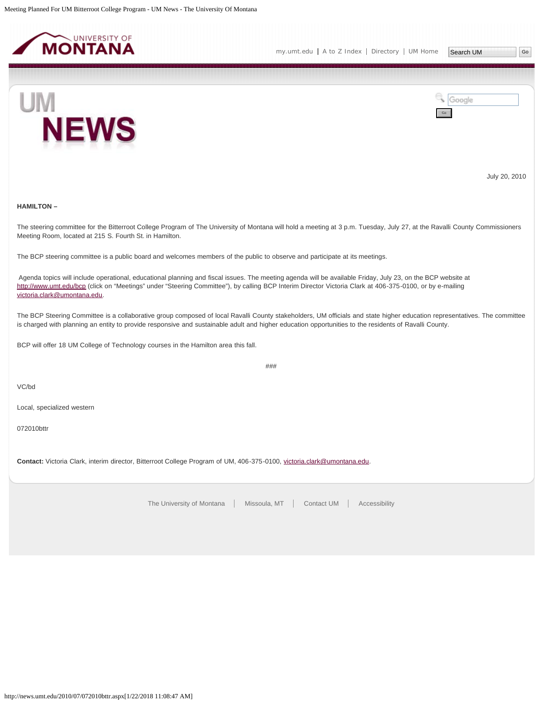<span id="page-14-0"></span>



July 20, 2010

#### **HAMILTON –**

The steering committee for the Bitterroot College Program of The University of Montana will hold a meeting at 3 p.m. Tuesday, July 27, at the Ravalli County Commissioners Meeting Room, located at 215 S. Fourth St. in Hamilton.

The BCP steering committee is a public board and welcomes members of the public to observe and participate at its meetings.

Agenda topics will include operational, educational planning and fiscal issues. The meeting agenda will be available Friday, July 23, on the BCP website at <http://www.umt.edu/bcp>(click on "Meetings" under "Steering Committee"), by calling BCP Interim Director Victoria Clark at 406-375-0100, or by e-mailing [victoria.clark@umontana.edu](mailto:victoria.clark@umontana.edu).

The BCP Steering Committee is a collaborative group composed of local Ravalli County stakeholders, UM officials and state higher education representatives. The committee is charged with planning an entity to provide responsive and sustainable adult and higher education opportunities to the residents of Ravalli County.

BCP will offer 18 UM College of Technology courses in the Hamilton area this fall.

###

VC/bd

Local, specialized western

072010bttr

**Contact:** Victoria Clark, interim director, Bitterroot College Program of UM, 406-375-0100, [victoria.clark@umontana.edu](mailto:victoria.clark@umontana.edu).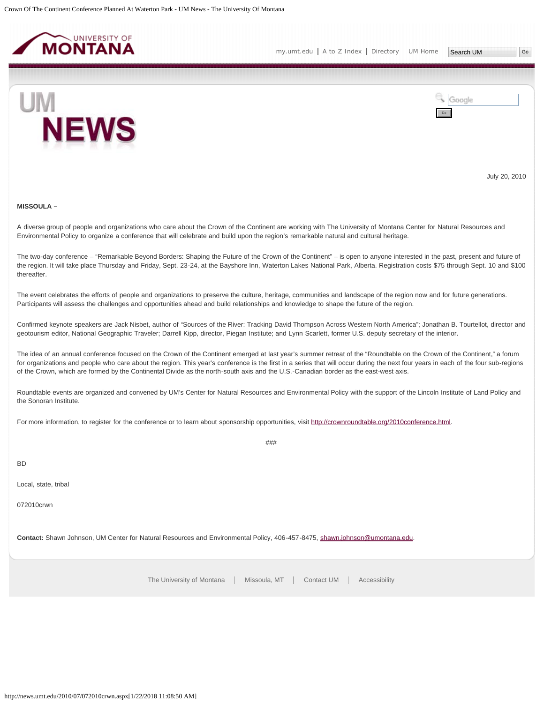<span id="page-15-0"></span>



July 20, 2010

#### **MISSOULA –**

A diverse group of people and organizations who care about the Crown of the Continent are working with The University of Montana Center for Natural Resources and Environmental Policy to organize a conference that will celebrate and build upon the region's remarkable natural and cultural heritage.

The two-day conference – "Remarkable Beyond Borders: Shaping the Future of the Crown of the Continent" – is open to anyone interested in the past, present and future of the region. It will take place Thursday and Friday, Sept. 23-24, at the Bayshore Inn, Waterton Lakes National Park, Alberta. Registration costs \$75 through Sept. 10 and \$100 thereafter.

The event celebrates the efforts of people and organizations to preserve the culture, heritage, communities and landscape of the region now and for future generations. Participants will assess the challenges and opportunities ahead and build relationships and knowledge to shape the future of the region.

Confirmed keynote speakers are Jack Nisbet, author of "Sources of the River: Tracking David Thompson Across Western North America"; Jonathan B. Tourtellot, director and geotourism editor, National Geographic Traveler; Darrell Kipp, director, Piegan Institute; and Lynn Scarlett, former U.S. deputy secretary of the interior.

The idea of an annual conference focused on the Crown of the Continent emerged at last year's summer retreat of the "Roundtable on the Crown of the Continent," a forum for organizations and people who care about the region. This year's conference is the first in a series that will occur during the next four years in each of the four sub-regions of the Crown, which are formed by the Continental Divide as the north-south axis and the U.S.-Canadian border as the east-west axis.

Roundtable events are organized and convened by UM's Center for Natural Resources and Environmental Policy with the support of the Lincoln Institute of Land Policy and the Sonoran Institute.

###

For more information, to register for the conference or to learn about sponsorship opportunities, visit<http://crownroundtable.org/2010conference.html>.

BD

Local, state, tribal

072010crwn

**Contact:** Shawn Johnson, UM Center for Natural Resources and Environmental Policy, 406-457-8475, [shawn.johnson@umontana.edu.](mailto:shawn.johnson@umontana.edu)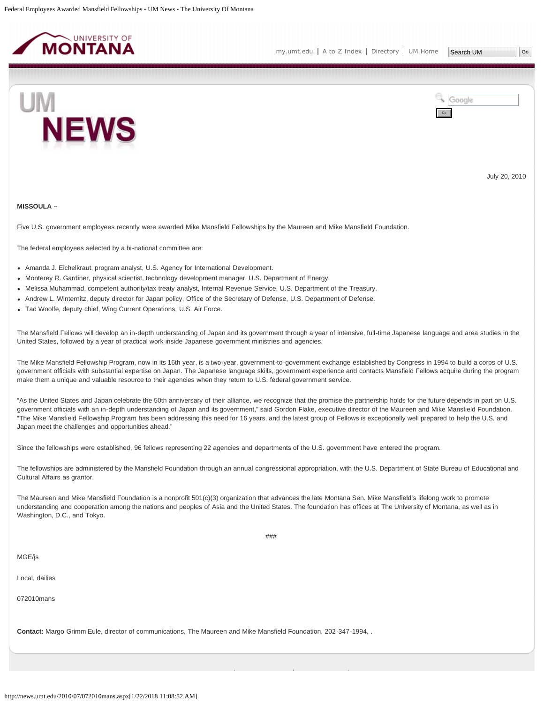<span id="page-16-0"></span>

Google

Go



July 20, 2010

#### **MISSOULA –**

Five U.S. government employees recently were awarded Mike Mansfield Fellowships by the Maureen and Mike Mansfield Foundation.

The federal employees selected by a bi-national committee are:

- Amanda J. Eichelkraut, program analyst, U.S. Agency for International Development.
- Monterey R. Gardiner, physical scientist, technology development manager, U.S. Department of Energy.
- Melissa Muhammad, competent authority/tax treaty analyst, Internal Revenue Service, U.S. Department of the Treasury.
- Andrew L. Winternitz, deputy director for Japan policy, Office of the Secretary of Defense, U.S. Department of Defense.
- Tad Woolfe, deputy chief, Wing Current Operations, U.S. Air Force.

The Mansfield Fellows will develop an in-depth understanding of Japan and its government through a year of intensive, full-time Japanese language and area studies in the United States, followed by a year of practical work inside Japanese government ministries and agencies.

The Mike Mansfield Fellowship Program, now in its 16th year, is a two-year, government-to-government exchange established by Congress in 1994 to build a corps of U.S. government officials with substantial expertise on Japan. The Japanese language skills, government experience and contacts Mansfield Fellows acquire during the program make them a unique and valuable resource to their agencies when they return to U.S. federal government service.

"As the United States and Japan celebrate the 50th anniversary of their alliance, we recognize that the promise the partnership holds for the future depends in part on U.S. government officials with an in-depth understanding of Japan and its government," said Gordon Flake, executive director of the Maureen and Mike Mansfield Foundation. "The Mike Mansfield Fellowship Program has been addressing this need for 16 years, and the latest group of Fellows is exceptionally well prepared to help the U.S. and Japan meet the challenges and opportunities ahead."

Since the fellowships were established, 96 fellows representing 22 agencies and departments of the U.S. government have entered the program.

The fellowships are administered by the Mansfield Foundation through an annual congressional appropriation, with the U.S. Department of State Bureau of Educational and Cultural Affairs as grantor.

###

The Maureen and Mike Mansfield Foundation is a nonprofit 501(c)(3) organization that advances the late Montana Sen. Mike Mansfield's lifelong work to promote understanding and cooperation among the nations and peoples of Asia and the United States. The foundation has offices at The University of Montana, as well as in Washington, D.C., and Tokyo.

MGE/js

Local, dailies

072010mans

**Contact:** Margo Grimm Eule, director of communications, The Maureen and Mike Mansfield Foundation, 202-347-1994, .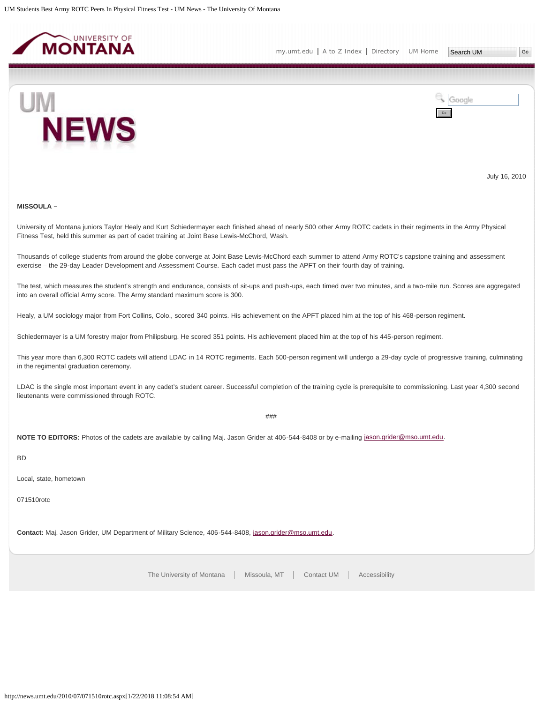<span id="page-18-0"></span>



July 16, 2010

## **MISSOULA –**

University of Montana juniors Taylor Healy and Kurt Schiedermayer each finished ahead of nearly 500 other Army ROTC cadets in their regiments in the Army Physical Fitness Test, held this summer as part of cadet training at Joint Base Lewis-McChord, Wash.

Thousands of college students from around the globe converge at Joint Base Lewis-McChord each summer to attend Army ROTC's capstone training and assessment exercise – the 29-day Leader Development and Assessment Course. Each cadet must pass the APFT on their fourth day of training.

The test, which measures the student's strength and endurance, consists of sit-ups and push-ups, each timed over two minutes, and a two-mile run. Scores are aggregated into an overall official Army score. The Army standard maximum score is 300.

Healy, a UM sociology major from Fort Collins, Colo., scored 340 points. His achievement on the APFT placed him at the top of his 468-person regiment.

Schiedermayer is a UM forestry major from Philipsburg. He scored 351 points. His achievement placed him at the top of his 445-person regiment.

This year more than 6,300 ROTC cadets will attend LDAC in 14 ROTC regiments. Each 500-person regiment will undergo a 29-day cycle of progressive training, culminating in the regimental graduation ceremony.

LDAC is the single most important event in any cadet's student career. Successful completion of the training cycle is prerequisite to commissioning. Last year 4,300 second lieutenants were commissioned through ROTC.

###

NOTE TO EDITORS: Photos of the cadets are available by calling Maj. Jason Grider at 406-544-8408 or by e-mailing [jason.grider@mso.umt.edu](mailto:jason.grider@mso.umt.edu).

BD

Local, state, hometown

071510rotc

**Contact:** Maj. Jason Grider, UM Department of Military Science, 406-544-8408, [jason.grider@mso.umt.edu](mailto:jason.grider@mso.umt.edu).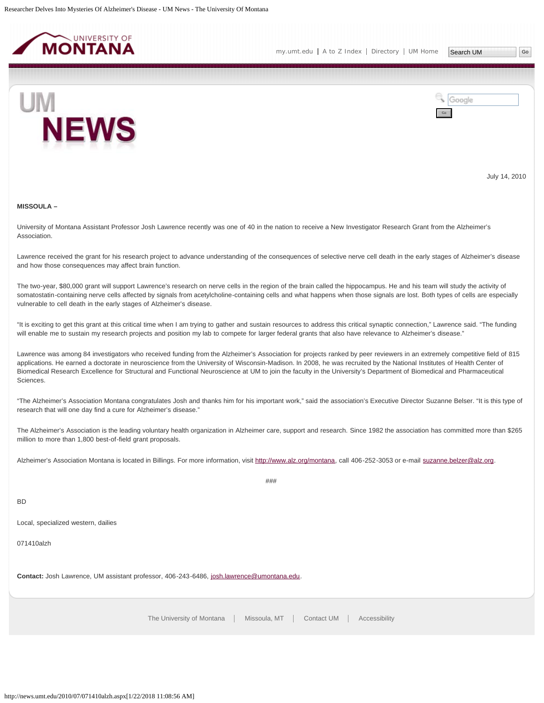<span id="page-19-0"></span>

Go

Google



July 14, 2010

#### **MISSOULA –**

University of Montana Assistant Professor Josh Lawrence recently was one of 40 in the nation to receive a New Investigator Research Grant from the Alzheimer's Association.

Lawrence received the grant for his research project to advance understanding of the consequences of selective nerve cell death in the early stages of Alzheimer's disease and how those consequences may affect brain function.

The two-year, \$80,000 grant will support Lawrence's research on nerve cells in the region of the brain called the hippocampus. He and his team will study the activity of somatostatin-containing nerve cells affected by signals from acetylcholine-containing cells and what happens when those signals are lost. Both types of cells are especially vulnerable to cell death in the early stages of Alzheimer's disease.

"It is exciting to get this grant at this critical time when I am trying to gather and sustain resources to address this critical synaptic connection," Lawrence said. "The funding will enable me to sustain my research projects and position my lab to compete for larger federal grants that also have relevance to Alzheimer's disease."

Lawrence was among 84 investigators who received funding from the Alzheimer's Association for projects ranked by peer reviewers in an extremely competitive field of 815 applications. He earned a doctorate in neuroscience from the University of Wisconsin-Madison. In 2008, he was recruited by the National Institutes of Health Center of Biomedical Research Excellence for Structural and Functional Neuroscience at UM to join the faculty in the University's Department of Biomedical and Pharmaceutical Sciences.

"The Alzheimer's Association Montana congratulates Josh and thanks him for his important work," said the association's Executive Director Suzanne Belser. "It is this type of research that will one day find a cure for Alzheimer's disease."

The Alzheimer's Association is the leading voluntary health organization in Alzheimer care, support and research. Since 1982 the association has committed more than \$265 million to more than 1,800 best-of-field grant proposals.

Alzheimer's Association Montana is located in Billings. For more information, visit<http://www.alz.org/montana>, call 406-252-3053 or e-mail [suzanne.belzer@alz.org](mailto:suzanne.belzer@alz.org).

###

BD

Local, specialized western, dailies

071410alzh

Contact: Josh Lawrence, UM assistant professor, 406-243-6486, [josh.lawrence@umontana.edu](mailto:josh.lawrence@umontana.edu).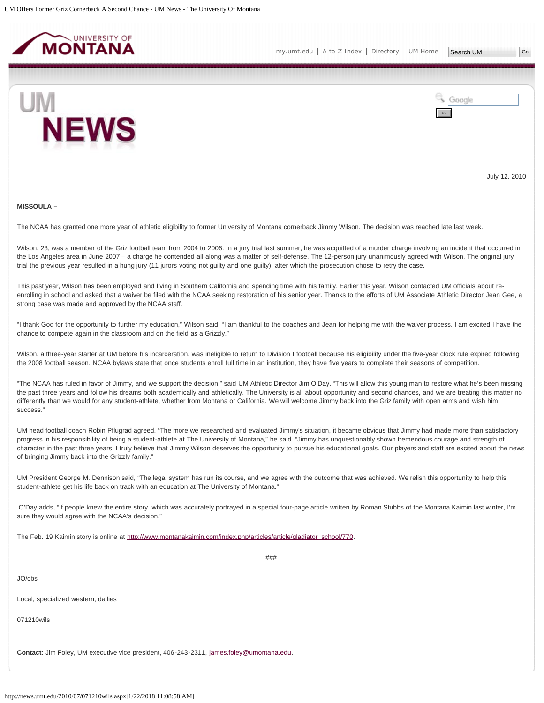<span id="page-20-0"></span>



July 12, 2010

#### **MISSOULA –**

The NCAA has granted one more year of athletic eligibility to former University of Montana cornerback Jimmy Wilson. The decision was reached late last week.

Wilson, 23, was a member of the Griz football team from 2004 to 2006. In a jury trial last summer, he was acquitted of a murder charge involving an incident that occurred in the Los Angeles area in June 2007 – a charge he contended all along was a matter of self-defense. The 12-person jury unanimously agreed with Wilson. The original jury trial the previous year resulted in a hung jury (11 jurors voting not guilty and one guilty), after which the prosecution chose to retry the case.

This past year, Wilson has been employed and living in Southern California and spending time with his family. Earlier this year, Wilson contacted UM officials about reenrolling in school and asked that a waiver be filed with the NCAA seeking restoration of his senior year. Thanks to the efforts of UM Associate Athletic Director Jean Gee, a strong case was made and approved by the NCAA staff.

"I thank God for the opportunity to further my education," Wilson said. "I am thankful to the coaches and Jean for helping me with the waiver process. I am excited I have the chance to compete again in the classroom and on the field as a Grizzly."

Wilson, a three-year starter at UM before his incarceration, was ineligible to return to Division I football because his eligibility under the five-year clock rule expired following the 2008 football season. NCAA bylaws state that once students enroll full time in an institution, they have five years to complete their seasons of competition.

"The NCAA has ruled in favor of Jimmy, and we support the decision," said UM Athletic Director Jim O'Day. "This will allow this young man to restore what he's been missing the past three years and follow his dreams both academically and athletically. The University is all about opportunity and second chances, and we are treating this matter no differently than we would for any student-athlete, whether from Montana or California. We will welcome Jimmy back into the Griz family with open arms and wish him success."

UM head football coach Robin Pflugrad agreed. "The more we researched and evaluated Jimmy's situation, it became obvious that Jimmy had made more than satisfactory progress in his responsibility of being a student-athlete at The University of Montana," he said. "Jimmy has unquestionably shown tremendous courage and strength of character in the past three years. I truly believe that Jimmy Wilson deserves the opportunity to pursue his educational goals. Our players and staff are excited about the news of bringing Jimmy back into the Grizzly family."

UM President George M. Dennison said, "The legal system has run its course, and we agree with the outcome that was achieved. We relish this opportunity to help this student-athlete get his life back on track with an education at The University of Montana."

O'Day adds, "If people knew the entire story, which was accurately portrayed in a special four-page article written by Roman Stubbs of the Montana Kaimin last winter, I'm sure they would agree with the NCAA's decision."

###

The Feb. 19 Kaimin story is online at [http://www.montanakaimin.com/index.php/articles/article/gladiator\\_school/770.](http://www.montanakaimin.com/index.php/articles/article/gladiator_school/770)

JO/cbs

Local, specialized western, dailies

071210wils

**Contact:** Jim Foley, UM executive vice president, 406-243-2311, [james.foley@umontana.edu](mailto:james.foley@umontana.edu).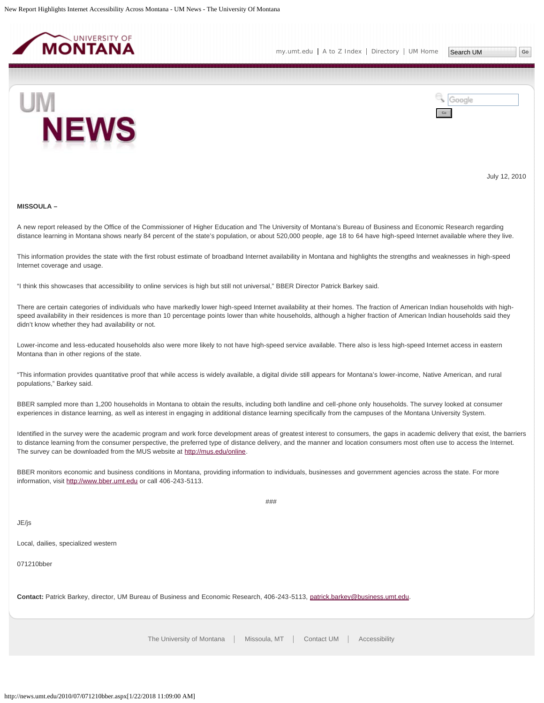<span id="page-22-0"></span>



July 12, 2010

#### **MISSOULA –**

A new report released by the Office of the Commissioner of Higher Education and The University of Montana's Bureau of Business and Economic Research regarding distance learning in Montana shows nearly 84 percent of the state's population, or about 520,000 people, age 18 to 64 have high-speed Internet available where they live.

This information provides the state with the first robust estimate of broadband Internet availability in Montana and highlights the strengths and weaknesses in high-speed Internet coverage and usage.

"I think this showcases that accessibility to online services is high but still not universal," BBER Director Patrick Barkey said.

There are certain categories of individuals who have markedly lower high-speed Internet availability at their homes. The fraction of American Indian households with highspeed availability in their residences is more than 10 percentage points lower than white households, although a higher fraction of American Indian households said they didn't know whether they had availability or not.

Lower-income and less-educated households also were more likely to not have high-speed service available. There also is less high-speed Internet access in eastern Montana than in other regions of the state.

"This information provides quantitative proof that while access is widely available, a digital divide still appears for Montana's lower-income, Native American, and rural populations," Barkey said.

BBER sampled more than 1,200 households in Montana to obtain the results, including both landline and cell-phone only households. The survey looked at consumer experiences in distance learning, as well as interest in engaging in additional distance learning specifically from the campuses of the Montana University System.

Identified in the survey were the academic program and work force development areas of greatest interest to consumers, the gaps in academic delivery that exist, the barriers to distance learning from the consumer perspective, the preferred type of distance delivery, and the manner and location consumers most often use to access the Internet. The survey can be downloaded from the MUS website at [http://mus.edu/online.](http://mus.edu/online)

BBER monitors economic and business conditions in Montana, providing information to individuals, businesses and government agencies across the state. For more information, visit [http://www.bber.umt.edu](http://www.bber.umt.edu/) or call 406-243-5113.

###

JE/js

Local, dailies, specialized western

071210bber

**Contact:** Patrick Barkey, director, UM Bureau of Business and Economic Research, 406-243-5113, [patrick.barkey@business.umt.edu.](mailto:patrick.barkey@business.umt.edu)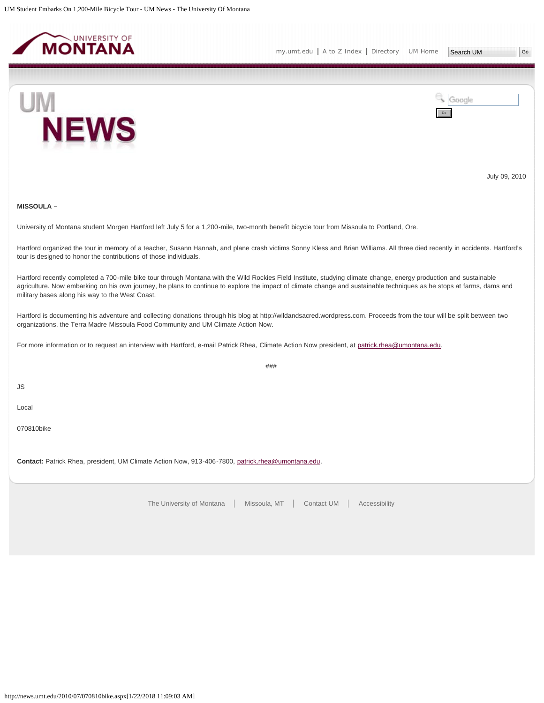<span id="page-23-0"></span>



July 09, 2010

## **MISSOULA –**

University of Montana student Morgen Hartford left July 5 for a 1,200-mile, two-month benefit bicycle tour from Missoula to Portland, Ore.

Hartford organized the tour in memory of a teacher, Susann Hannah, and plane crash victims Sonny Kless and Brian Williams. All three died recently in accidents. Hartford's tour is designed to honor the contributions of those individuals.

Hartford recently completed a 700-mile bike tour through Montana with the Wild Rockies Field Institute, studying climate change, energy production and sustainable agriculture. Now embarking on his own journey, he plans to continue to explore the impact of climate change and sustainable techniques as he stops at farms, dams and military bases along his way to the West Coast.

Hartford is documenting his adventure and collecting donations through his blog at http://wildandsacred.wordpress.com. Proceeds from the tour will be split between two organizations, the Terra Madre Missoula Food Community and UM Climate Action Now.

For more information or to request an interview with Hartford, e-mail Patrick Rhea, Climate Action Now president, at [patrick.rhea@umontana.edu.](http://news.umt.edu/2010/07/mailtopatrick.rhea@umontana.edu)

###

JS

Local

070810bike

**Contact:** Patrick Rhea, president, UM Climate Action Now, 913-406-7800, [patrick.rhea@umontana.edu.](mailto:patrick.rhea@umontana.edu)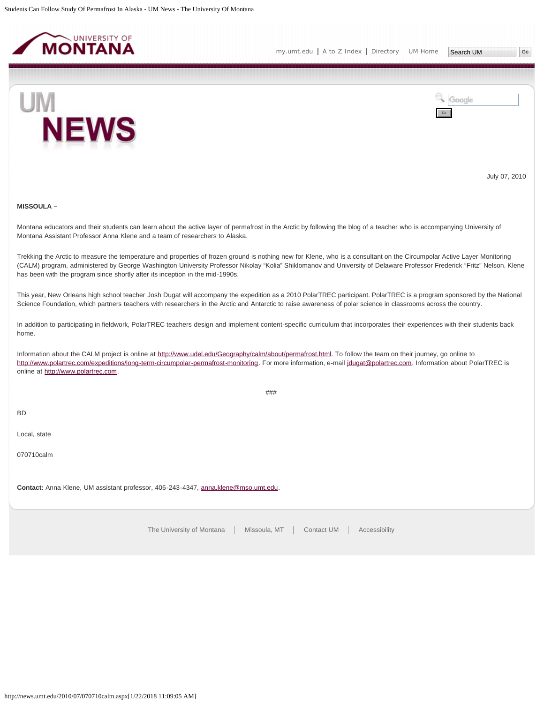<span id="page-24-0"></span>

[my.umt.edu](http://my.umt.edu/) | [A to Z Index](http://www.umt.edu/search/atoz/) | [Directory](http://www.umt.edu/directory/) | [UM Home](http://www.umt.edu/)

Search UM



Google Go

July 07, 2010

# **MISSOULA –**

Montana educators and their students can learn about the active layer of permafrost in the Arctic by following the blog of a teacher who is accompanying University of Montana Assistant Professor Anna Klene and a team of researchers to Alaska.

Trekking the Arctic to measure the temperature and properties of frozen ground is nothing new for Klene, who is a consultant on the Circumpolar Active Layer Monitoring (CALM) program, administered by George Washington University Professor Nikolay "Kolia" Shiklomanov and University of Delaware Professor Frederick "Fritz" Nelson. Klene has been with the program since shortly after its inception in the mid-1990s.

This year, New Orleans high school teacher Josh Dugat will accompany the expedition as a 2010 PolarTREC participant. PolarTREC is a program sponsored by the National Science Foundation, which partners teachers with researchers in the Arctic and Antarctic to raise awareness of polar science in classrooms across the country.

In addition to participating in fieldwork, PolarTREC teachers design and implement content-specific curriculum that incorporates their experiences with their students back home.

Information about the CALM project is online at <http://www.udel.edu/Geography/calm/about/permafrost.html>. To follow the team on their journey, go online to <http://www.polartrec.com/expeditions/long-term-circumpolar-permafrost-monitoring>. For more information, e-mail [jdugat@polartrec.com.](http://news.umt.edu/2010/07/jdugat@polartrec.com) Information about PolarTREC is online at [http://www.polartrec.com](http://www.polartrec.com/).

###

BD

Local, state

070710calm

**Contact:** Anna Klene, UM assistant professor, 406-243-4347, [anna.klene@mso.umt.edu](mailto:anna.klene@mso.umt.edu).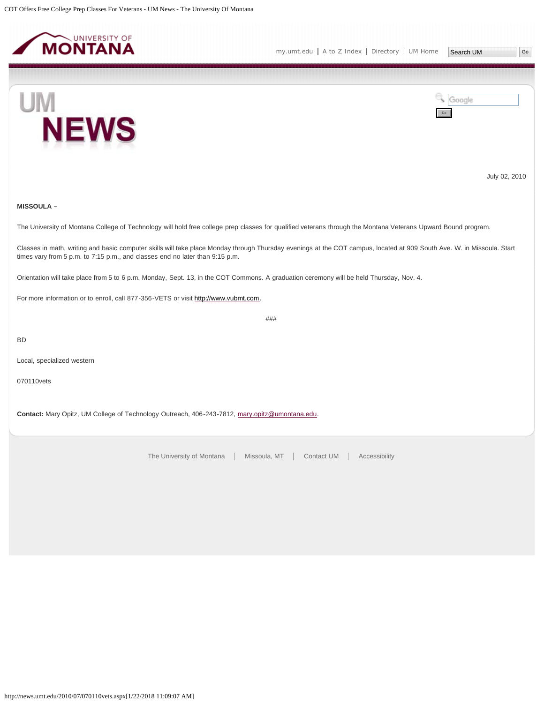<span id="page-25-0"></span>



July 02, 2010

# **MISSOULA –**

The University of Montana College of Technology will hold free college prep classes for qualified veterans through the Montana Veterans Upward Bound program.

Classes in math, writing and basic computer skills will take place Monday through Thursday evenings at the COT campus, located at 909 South Ave. W. in Missoula. Start times vary from 5 p.m. to 7:15 p.m., and classes end no later than 9:15 p.m.

Orientation will take place from 5 to 6 p.m. Monday, Sept. 13, in the COT Commons. A graduation ceremony will be held Thursday, Nov. 4.

For more information or to enroll, call 877-356-VETS or visit [http://www.vubmt.com](http://www.vubmt.com/).

###

BD

Local, specialized western

070110vets

**Contact:** Mary Opitz, UM College of Technology Outreach, 406-243-7812, [mary.opitz@umontana.edu](mailto:mary.opitz@umontana.edu).